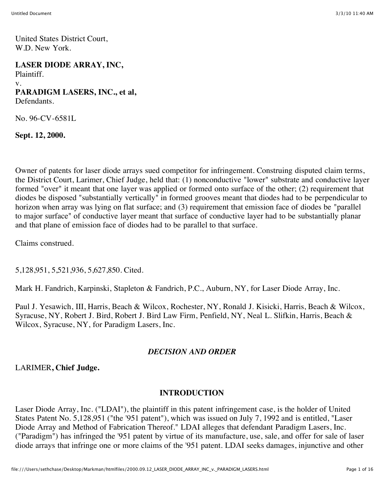United States District Court, W.D. New York.

#### **LASER DIODE ARRAY, INC,**

Plaintiff. v. **PARADIGM LASERS, INC., et al,** Defendants.

No. 96-CV-6581L

**Sept. 12, 2000.**

Owner of patents for laser diode arrays sued competitor for infringement. Construing disputed claim terms, the District Court, Larimer, Chief Judge, held that: (1) nonconductive "lower" substrate and conductive layer formed "over" it meant that one layer was applied or formed onto surface of the other; (2) requirement that diodes be disposed "substantially vertically" in formed grooves meant that diodes had to be perpendicular to horizon when array was lying on flat surface; and (3) requirement that emission face of diodes be "parallel to major surface" of conductive layer meant that surface of conductive layer had to be substantially planar and that plane of emission face of diodes had to be parallel to that surface.

Claims construed.

5,128,951, 5,521,936, 5,627,850. Cited.

Mark H. Fandrich, Karpinski, Stapleton & Fandrich, P.C., Auburn, NY, for Laser Diode Array, Inc.

Paul J. Yesawich, III, Harris, Beach & Wilcox, Rochester, NY, Ronald J. Kisicki, Harris, Beach & Wilcox, Syracuse, NY, Robert J. Bird, Robert J. Bird Law Firm, Penfield, NY, Neal L. Slifkin, Harris, Beach & Wilcox, Syracuse, NY, for Paradigm Lasers, Inc.

#### *DECISION AND ORDER*

LARIMER**, Chief Judge.**

#### **INTRODUCTION**

Laser Diode Array, Inc. ("LDAI"), the plaintiff in this patent infringement case, is the holder of United States Patent No. 5,128,951 ("the '951 patent"), which was issued on July 7, 1992 and is entitled, "Laser Diode Array and Method of Fabrication Thereof." LDAI alleges that defendant Paradigm Lasers, Inc. ("Paradigm") has infringed the '951 patent by virtue of its manufacture, use, sale, and offer for sale of laser diode arrays that infringe one or more claims of the '951 patent. LDAI seeks damages, injunctive and other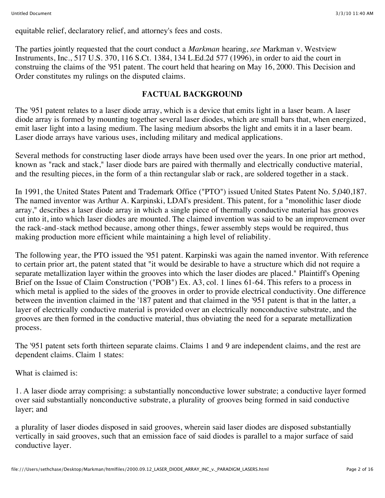equitable relief, declaratory relief, and attorney's fees and costs.

The parties jointly requested that the court conduct a *Markman* hearing, *see* Markman v. Westview Instruments, Inc., 517 U.S. 370, 116 S.Ct. 1384, 134 L.Ed.2d 577 (1996), in order to aid the court in construing the claims of the '951 patent. The court held that hearing on May 16, 2000. This Decision and Order constitutes my rulings on the disputed claims.

#### **FACTUAL BACKGROUND**

The '951 patent relates to a laser diode array, which is a device that emits light in a laser beam. A laser diode array is formed by mounting together several laser diodes, which are small bars that, when energized, emit laser light into a lasing medium. The lasing medium absorbs the light and emits it in a laser beam. Laser diode arrays have various uses, including military and medical applications.

Several methods for constructing laser diode arrays have been used over the years. In one prior art method, known as "rack and stack," laser diode bars are paired with thermally and electrically conductive material, and the resulting pieces, in the form of a thin rectangular slab or rack, are soldered together in a stack.

In 1991, the United States Patent and Trademark Office ("PTO") issued United States Patent No. 5,040,187. The named inventor was Arthur A. Karpinski, LDAI's president. This patent, for a "monolithic laser diode array," describes a laser diode array in which a single piece of thermally conductive material has grooves cut into it, into which laser diodes are mounted. The claimed invention was said to be an improvement over the rack-and-stack method because, among other things, fewer assembly steps would be required, thus making production more efficient while maintaining a high level of reliability.

The following year, the PTO issued the '951 patent. Karpinski was again the named inventor. With reference to certain prior art, the patent stated that "it would be desirable to have a structure which did not require a separate metallization layer within the grooves into which the laser diodes are placed." Plaintiff's Opening Brief on the Issue of Claim Construction ("POB") Ex. A3, col. 1 lines 61-64. This refers to a process in which metal is applied to the sides of the grooves in order to provide electrical conductivity. One difference between the invention claimed in the '187 patent and that claimed in the '951 patent is that in the latter, a layer of electrically conductive material is provided over an electrically nonconductive substrate, and the grooves are then formed in the conductive material, thus obviating the need for a separate metallization process.

The '951 patent sets forth thirteen separate claims. Claims 1 and 9 are independent claims, and the rest are dependent claims. Claim 1 states:

What is claimed is:

1. A laser diode array comprising: a substantially nonconductive lower substrate; a conductive layer formed over said substantially nonconductive substrate, a plurality of grooves being formed in said conductive layer; and

a plurality of laser diodes disposed in said grooves, wherein said laser diodes are disposed substantially vertically in said grooves, such that an emission face of said diodes is parallel to a major surface of said conductive layer.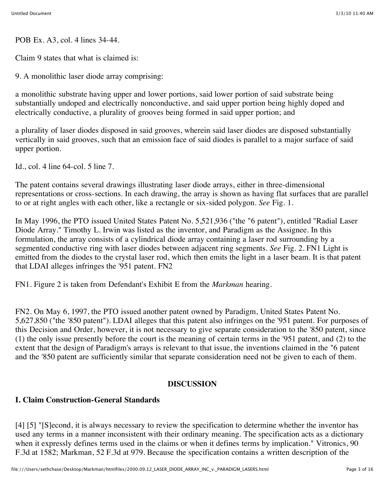POB Ex. A3, col. 4 lines 34-44.

Claim 9 states that what is claimed is:

9. A monolithic laser diode array comprising:

a monolithic substrate having upper and lower portions, said lower portion of said substrate being substantially undoped and electrically nonconductive, and said upper portion being highly doped and electrically conductive, a plurality of grooves being formed in said upper portion; and

a plurality of laser diodes disposed in said grooves, wherein said laser diodes are disposed substantially vertically in said grooves, such that an emission face of said diodes is parallel to a major surface of said upper portion.

Id., col. 4 line 64-col. 5 line 7.

The patent contains several drawings illustrating laser diode arrays, either in three-dimensional representations or cross-sections. In each drawing, the array is shown as having flat surfaces that are parallel to or at right angles with each other, like a rectangle or six-sided polygon. *See* Fig. 1.

In May 1996, the PTO issued United States Patent No. 5,521,936 ("the "6 patent"), entitled "Radial Laser Diode Array." Timothy L. Irwin was listed as the inventor, and Paradigm as the Assignee. In this formulation, the array consists of a cylindrical diode array containing a laser rod surrounding by a segmented conductive ring with laser diodes between adjacent ring segments. *See* Fig. 2. FN1 Light is emitted from the diodes to the crystal laser rod, which then emits the light in a laser beam. It is that patent that LDAI alleges infringes the '951 patent. FN2

FN1. Figure 2 is taken from Defendant's Exhibit E from the *Markman* hearing.

FN2. On May 6, 1997, the PTO issued another patent owned by Paradigm, United States Patent No. 5,627,850 ("the '850 patent"). LDAI alleges that this patent also infringes on the '951 patent. For purposes of this Decision and Order, however, it is not necessary to give separate consideration to the '850 patent, since (1) the only issue presently before the court is the meaning of certain terms in the '951 patent, and (2) to the extent that the design of Paradigm's arrays is relevant to that issue, the inventions claimed in the "6 patent and the '850 patent are sufficiently similar that separate consideration need not be given to each of them.

## **DISCUSSION**

## **I. Claim Construction-General Standards**

[4] [5] "[S]econd, it is always necessary to review the specification to determine whether the inventor has used any terms in a manner inconsistent with their ordinary meaning. The specification acts as a dictionary when it expressly defines terms used in the claims or when it defines terms by implication." Vitronics, 90 F.3d at 1582; Markman, 52 F.3d at 979. Because the specification contains a written description of the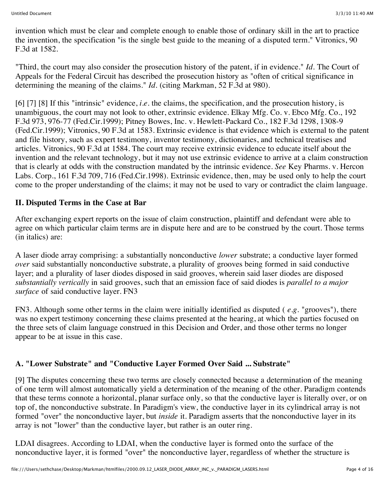invention which must be clear and complete enough to enable those of ordinary skill in the art to practice the invention, the specification "is the single best guide to the meaning of a disputed term." Vitronics, 90 F.3d at 1582.

"Third, the court may also consider the prosecution history of the patent, if in evidence." *Id.* The Court of Appeals for the Federal Circuit has described the prosecution history as "often of critical significance in determining the meaning of the claims." *Id.* (citing Markman, 52 F.3d at 980).

[6] [7] [8] If this "intrinsic" evidence, *i.e.* the claims, the specification, and the prosecution history, is unambiguous, the court may not look to other, extrinsic evidence. Elkay Mfg. Co. v. Ebco Mfg. Co., 192 F.3d 973, 976-77 (Fed.Cir.1999); Pitney Bowes, Inc. v. Hewlett-Packard Co., 182 F.3d 1298, 1308-9 (Fed.Cir.1999); Vitronics, 90 F.3d at 1583. Extrinsic evidence is that evidence which is external to the patent and file history, such as expert testimony, inventor testimony, dictionaries, and technical treatises and articles. Vitronics, 90 F.3d at 1584. The court may receive extrinsic evidence to educate itself about the invention and the relevant technology, but it may not use extrinsic evidence to arrive at a claim construction that is clearly at odds with the construction mandated by the intrinsic evidence. *See* Key Pharms. v. Hercon Labs. Corp., 161 F.3d 709, 716 (Fed.Cir.1998). Extrinsic evidence, then, may be used only to help the court come to the proper understanding of the claims; it may not be used to vary or contradict the claim language.

#### **II. Disputed Terms in the Case at Bar**

After exchanging expert reports on the issue of claim construction, plaintiff and defendant were able to agree on which particular claim terms are in dispute here and are to be construed by the court. Those terms (in italics) are:

A laser diode array comprising: a substantially nonconductive *lower* substrate; a conductive layer formed *over* said substantially nonconductive substrate, a plurality of grooves being formed in said conductive layer; and a plurality of laser diodes disposed in said grooves, wherein said laser diodes are disposed *substantially vertically* in said grooves, such that an emission face of said diodes is *parallel to a major surface* of said conductive layer. FN3

FN3. Although some other terms in the claim were initially identified as disputed ( *e.g.* "grooves"), there was no expert testimony concerning these claims presented at the hearing, at which the parties focused on the three sets of claim language construed in this Decision and Order, and those other terms no longer appear to be at issue in this case.

#### **A. "Lower Substrate" and "Conductive Layer Formed Over Said ... Substrate"**

[9] The disputes concerning these two terms are closely connected because a determination of the meaning of one term will almost automatically yield a determination of the meaning of the other. Paradigm contends that these terms connote a horizontal, planar surface only, so that the conductive layer is literally over, or on top of, the nonconductive substrate. In Paradigm's view, the conductive layer in its cylindrical array is not formed "over" the nonconductive layer, but *inside* it. Paradigm asserts that the nonconductive layer in its array is not "lower" than the conductive layer, but rather is an outer ring.

LDAI disagrees. According to LDAI, when the conductive layer is formed onto the surface of the nonconductive layer, it is formed "over" the nonconductive layer, regardless of whether the structure is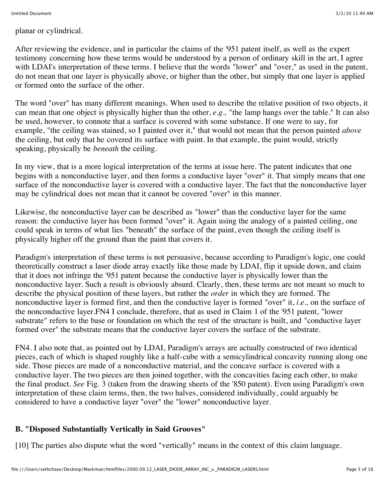planar or cylindrical.

After reviewing the evidence, and in particular the claims of the '951 patent itself, as well as the expert testimony concerning how these terms would be understood by a person of ordinary skill in the art, I agree with LDAI's interpretation of these terms. I believe that the words "lower" and "over," as used in the patent, do not mean that one layer is physically above, or higher than the other, but simply that one layer is applied or formed onto the surface of the other.

The word "over" has many different meanings. When used to describe the relative position of two objects, it can mean that one object is physically higher than the other, *e.g.,* "the lamp hangs over the table." It can also be used, however, to connote that a surface is covered with some substance. If one were to say, for example, "the ceiling was stained, so I painted over it," that would not mean that the person painted *above* the ceiling, but only that he covered its surface with paint. In that example, the paint would, strictly speaking, physically be *beneath* the ceiling.

In my view, that is a more logical interpretation of the terms at issue here. The patent indicates that one begins with a nonconductive layer, and then forms a conductive layer "over" it. That simply means that one surface of the nonconductive layer is covered with a conductive layer. The fact that the nonconductive layer may be cylindrical does not mean that it cannot be covered "over" in this manner.

Likewise, the nonconductive layer can be described as "lower" than the conductive layer for the same reason: the conductive layer has been formed "over" it. Again using the analogy of a painted ceiling, one could speak in terms of what lies "beneath" the surface of the paint, even though the ceiling itself is physically higher off the ground than the paint that covers it.

Paradigm's interpretation of these terms is not persuasive, because according to Paradigm's logic, one could theoretically construct a laser diode array exactly like those made by LDAI, flip it upside down, and claim that it does not infringe the '951 patent because the conductive layer is physically lower than the nonconductive layer. Such a result is obviously absurd. Clearly, then, these terms are not meant so much to describe the physical position of these layers, but rather the *order* in which they are formed. The nonconductive layer is formed first, and then the conductive layer is formed "over" it, *i.e.,* on the surface of the nonconductive layer.FN4 I conclude, therefore, that as used in Claim 1 of the '951 patent, "lower substrate" refers to the base or foundation on which the rest of the structure is built, and "conductive layer formed over" the substrate means that the conductive layer covers the surface of the substrate.

FN4. I also note that, as pointed out by LDAI, Paradigm's arrays are actually constructed of two identical pieces, each of which is shaped roughly like a half-cube with a semicylindrical concavity running along one side. Those pieces are made of a nonconductive material, and the concave surface is covered with a conductive layer. The two pieces are then joined together, with the concavities facing each other, to make the final product. *See* Fig. 3 (taken from the drawing sheets of the '850 patent). Even using Paradigm's own interpretation of these claim terms, then, the two halves, considered individually, could arguably be considered to have a conductive layer "over" the "lower" nonconductive layer.

## **B. "Disposed Substantially Vertically in Said Grooves"**

[10] The parties also dispute what the word "vertically" means in the context of this claim language.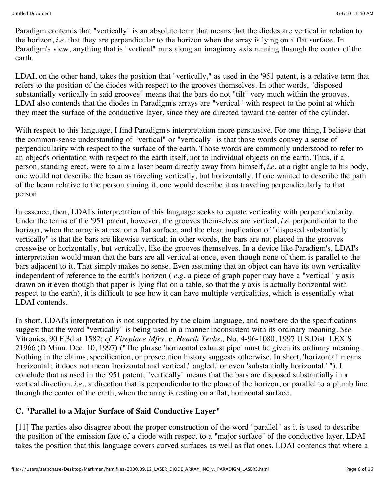Paradigm contends that "vertically" is an absolute term that means that the diodes are vertical in relation to the horizon, *i.e.* that they are perpendicular to the horizon when the array is lying on a flat surface. In Paradigm's view, anything that is "vertical" runs along an imaginary axis running through the center of the earth.

LDAI, on the other hand, takes the position that "vertically," as used in the '951 patent, is a relative term that refers to the position of the diodes with respect to the grooves themselves. In other words, "disposed substantially vertically in said grooves" means that the bars do not "tilt" very much within the grooves. LDAI also contends that the diodes in Paradigm's arrays are "vertical" with respect to the point at which they meet the surface of the conductive layer, since they are directed toward the center of the cylinder.

With respect to this language, I find Paradigm's interpretation more persuasive. For one thing, I believe that the common-sense understanding of "vertical" or "vertically" is that those words convey a sense of perpendicularity with respect to the surface of the earth. Those words are commonly understood to refer to an object's orientation with respect to the earth itself, not to individual objects on the earth. Thus, if a person, standing erect, were to aim a laser beam directly away from himself, *i.e.* at a right angle to his body, one would not describe the beam as traveling vertically, but horizontally. If one wanted to describe the path of the beam relative to the person aiming it, one would describe it as traveling perpendicularly to that person.

In essence, then, LDAI's interpretation of this language seeks to equate verticality with perpendicularity. Under the terms of the '951 patent, however, the grooves themselves are vertical, *i.e.* perpendicular to the horizon, when the array is at rest on a flat surface, and the clear implication of "disposed substantially vertically" is that the bars are likewise vertical; in other words, the bars are not placed in the grooves crosswise or horizontally, but vertically, like the grooves themselves. In a device like Paradigm's, LDAI's interpretation would mean that the bars are all vertical at once, even though none of them is parallel to the bars adjacent to it. That simply makes no sense. Even assuming that an object can have its own verticality independent of reference to the earth's horizon ( *e.g.* a piece of graph paper may have a "vertical" y axis drawn on it even though that paper is lying flat on a table, so that the y axis is actually horizontal with respect to the earth), it is difficult to see how it can have multiple verticalities, which is essentially what LDAI contends.

In short, LDAI's interpretation is not supported by the claim language, and nowhere do the specifications suggest that the word "vertically" is being used in a manner inconsistent with its ordinary meaning. *See* Vitronics, 90 F.3d at 1582; *cf. Fireplace Mfrs. v. Hearth Techs.,* No. 4-96-1080, 1997 U.S.Dist. LEXIS 21966 (D.Minn. Dec. 10, 1997) ("The phrase 'horizontal exhaust pipe' must be given its ordinary meaning. Nothing in the claims, specification, or prosecution history suggests otherwise. In short, 'horizontal' means 'horizontal'; it does not mean 'horizontal and vertical,' 'angled,' or even 'substantially horizontal.' "). I conclude that as used in the '951 patent, "vertically" means that the bars are disposed substantially in a vertical direction, *i.e.,* a direction that is perpendicular to the plane of the horizon, or parallel to a plumb line through the center of the earth, when the array is resting on a flat, horizontal surface.

## **C. "Parallel to a Major Surface of Said Conductive Layer"**

[11] The parties also disagree about the proper construction of the word "parallel" as it is used to describe the position of the emission face of a diode with respect to a "major surface" of the conductive layer. LDAI takes the position that this language covers curved surfaces as well as flat ones. LDAI contends that where a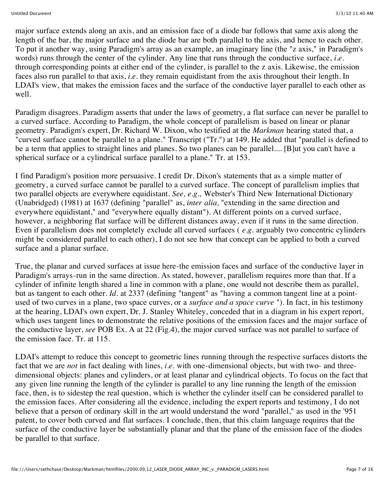major surface extends along an axis, and an emission face of a diode bar follows that same axis along the length of the bar, the major surface and the diode bar are both parallel to the axis, and hence to each other. To put it another way, using Paradigm's array as an example, an imaginary line (the "z axis," in Paradigm's words) runs through the center of the cylinder. Any line that runs through the conductive surface, *i.e.* through corresponding points at either end of the cylinder, is parallel to the z axis. Likewise, the emission faces also run parallel to that axis, *i.e.* they remain equidistant from the axis throughout their length. In LDAI's view, that makes the emission faces and the surface of the conductive layer parallel to each other as well.

Paradigm disagrees. Paradigm asserts that under the laws of geometry, a flat surface can never be parallel to a curved surface. According to Paradigm, the whole concept of parallelism is based on linear or planar geometry. Paradigm's expert, Dr. Richard W. Dixon, who testified at the *Markman* hearing stated that, a "curved surface cannot be parallel to a plane." Transcript ("Tr.") at 149. He added that "parallel is defined to be a term that applies to straight lines and planes. So two planes can be parallel.... [B]ut you can't have a spherical surface or a cylindrical surface parallel to a plane." Tr. at 153.

I find Paradigm's position more persuasive. I credit Dr. Dixon's statements that as a simple matter of geometry, a curved surface cannot be parallel to a curved surface. The concept of parallelism implies that two parallel objects are everywhere equidistant. *See, e.g.,* Webster's Third New International Dictionary (Unabridged) (1981) at 1637 (defining "parallel" as, *inter alia,* "extending in the same direction and everywhere equidistant," and "everywhere equally distant"). At different points on a curved surface, however, a neighboring flat surface will be different distances away, even if it runs in the same direction. Even if parallelism does not completely exclude all curved surfaces ( *e.g.* arguably two concentric cylinders might be considered parallel to each other), I do not see how that concept can be applied to both a curved surface and a planar surface.

True, the planar and curved surfaces at issue here-the emission faces and surface of the conductive layer in Paradigm's arrays-run in the same direction. As stated, however, parallelism requires more than that. If a cylinder of infinite length shared a line in common with a plane, one would not describe them as parallel, but as tangent to each other. *Id.* at 2337 (defining "tangent" as "having a common tangent line at a pointused of two curves in a plane, two space curves, or a *surface and a space curve* "). In fact, in his testimony at the hearing, LDAI's own expert, Dr. J. Stanley Whiteley, conceded that in a diagram in his expert report, which uses tangent lines to demonstrate the relative positions of the emission faces and the major surface of the conductive layer, *see* POB Ex. A at 22 (Fig.4), the major curved surface was not parallel to surface of the emission face. Tr. at 115.

LDAI's attempt to reduce this concept to geometric lines running through the respective surfaces distorts the fact that we are *not* in fact dealing with lines, *i.e.* with one-dimensional objects, but with two- and threedimensional objects: planes and cylinders, or at least planar and cylindrical objects. To focus on the fact that any given line running the length of the cylinder is parallel to any line running the length of the emission face, then, is to sidestep the real question, which is whether the cylinder itself can be considered parallel to the emission faces. After considering all the evidence, including the expert reports and testimony, I do not believe that a person of ordinary skill in the art would understand the word "parallel," as used in the '951 patent, to cover both curved and flat surfaces. I conclude, then, that this claim language requires that the surface of the conductive layer be substantially planar and that the plane of the emission face of the diodes be parallel to that surface.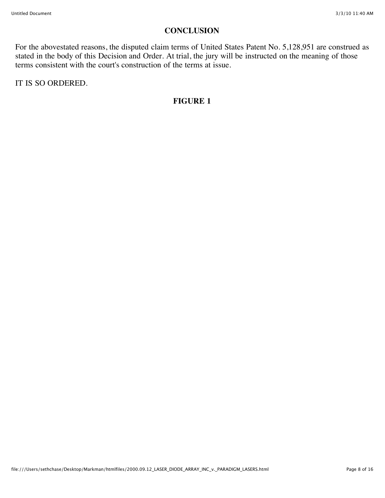# **CONCLUSION**

For the abovestated reasons, the disputed claim terms of United States Patent No. 5,128,951 are construed as stated in the body of this Decision and Order. At trial, the jury will be instructed on the meaning of those terms consistent with the court's construction of the terms at issue.

IT IS SO ORDERED.

## **FIGURE 1**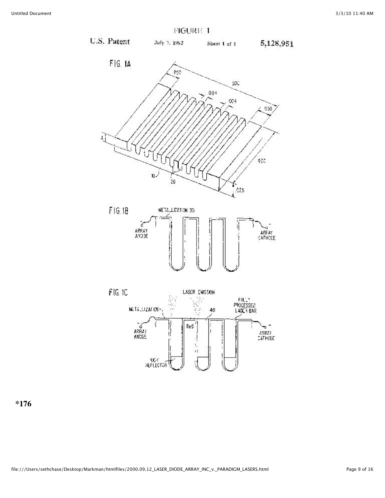

**\*176**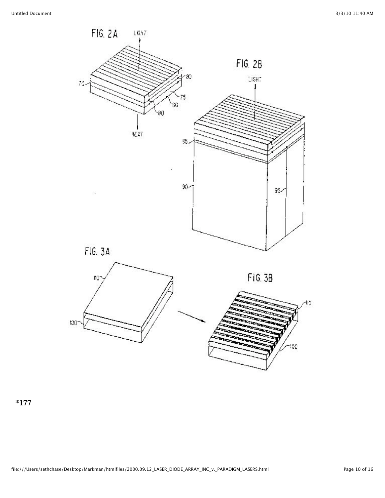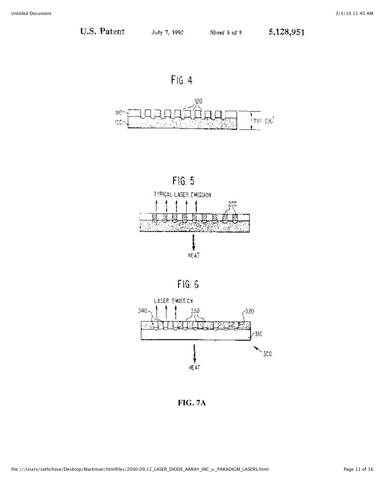









FIG.7A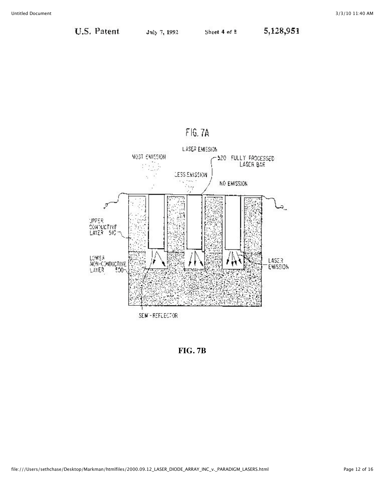# FIG. 7A



**FIG. 7B**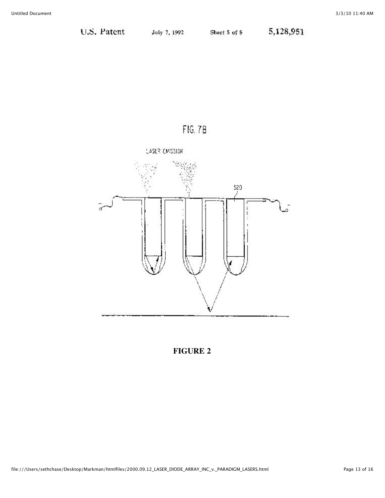



**FIGURE 2**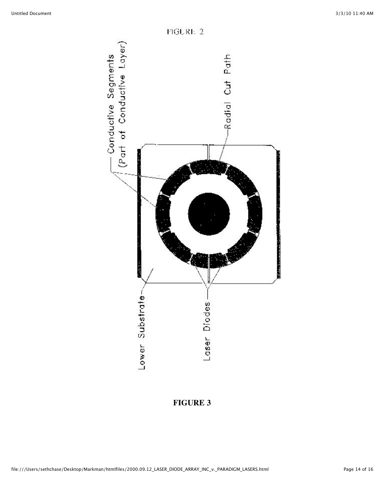

**FIGURE 3**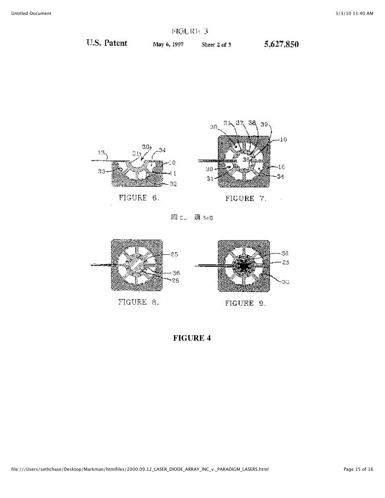# FIGURE 3

U.S. Patent

May 6, 1997

Sheet 2 of 3  $5,627,850$ 





図 c. 图 5e0



# **FIGURE 4**